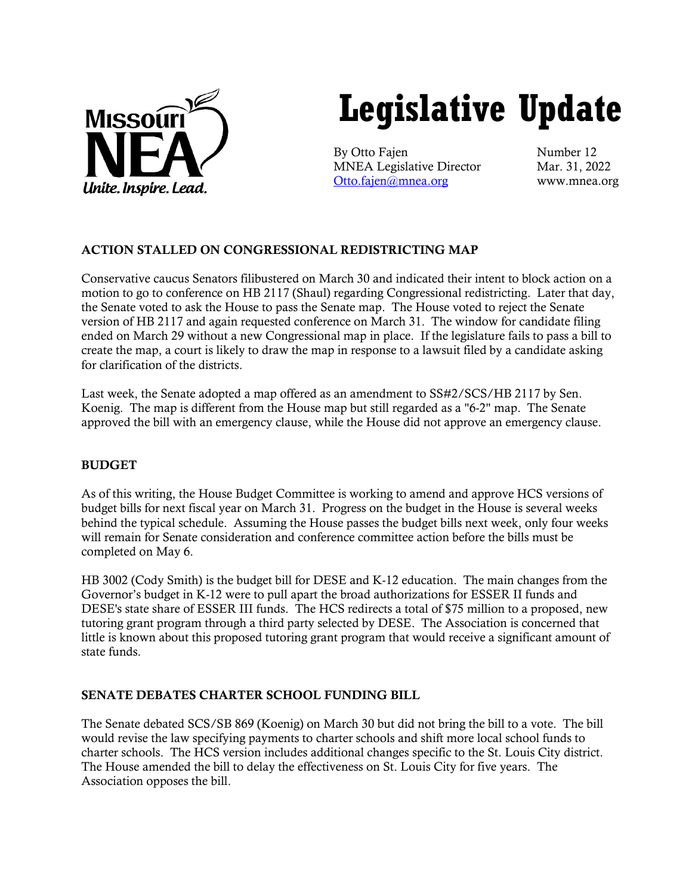

# **Legislative Update**

By Otto Fajen Number 12 MNEA Legislative Director Mar. 31, 2022 [Otto.fajen@mnea.org](mailto:Otto.fajen@mnea.org) www.mnea.org

# ACTION STALLED ON CONGRESSIONAL REDISTRICTING MAP

Conservative caucus Senators filibustered on March 30 and indicated their intent to block action on a motion to go to conference on HB 2117 (Shaul) regarding Congressional redistricting. Later that day, the Senate voted to ask the House to pass the Senate map. The House voted to reject the Senate version of HB 2117 and again requested conference on March 31. The window for candidate filing ended on March 29 without a new Congressional map in place. If the legislature fails to pass a bill to create the map, a court is likely to draw the map in response to a lawsuit filed by a candidate asking for clarification of the districts.

Last week, the Senate adopted a map offered as an amendment to SS#2/SCS/HB 2117 by Sen. Koenig. The map is different from the House map but still regarded as a "6-2" map. The Senate approved the bill with an emergency clause, while the House did not approve an emergency clause.

# BUDGET

As of this writing, the House Budget Committee is working to amend and approve HCS versions of budget bills for next fiscal year on March 31. Progress on the budget in the House is several weeks behind the typical schedule. Assuming the House passes the budget bills next week, only four weeks will remain for Senate consideration and conference committee action before the bills must be completed on May 6.

HB 3002 (Cody Smith) is the budget bill for DESE and K-12 education. The main changes from the Governor's budget in K-12 were to pull apart the broad authorizations for ESSER II funds and DESE's state share of ESSER III funds. The HCS redirects a total of \$75 million to a proposed, new tutoring grant program through a third party selected by DESE. The Association is concerned that little is known about this proposed tutoring grant program that would receive a significant amount of state funds.

# SENATE DEBATES CHARTER SCHOOL FUNDING BILL

The Senate debated SCS/SB 869 (Koenig) on March 30 but did not bring the bill to a vote. The bill would revise the law specifying payments to charter schools and shift more local school funds to charter schools. The HCS version includes additional changes specific to the St. Louis City district. The House amended the bill to delay the effectiveness on St. Louis City for five years. The Association opposes the bill.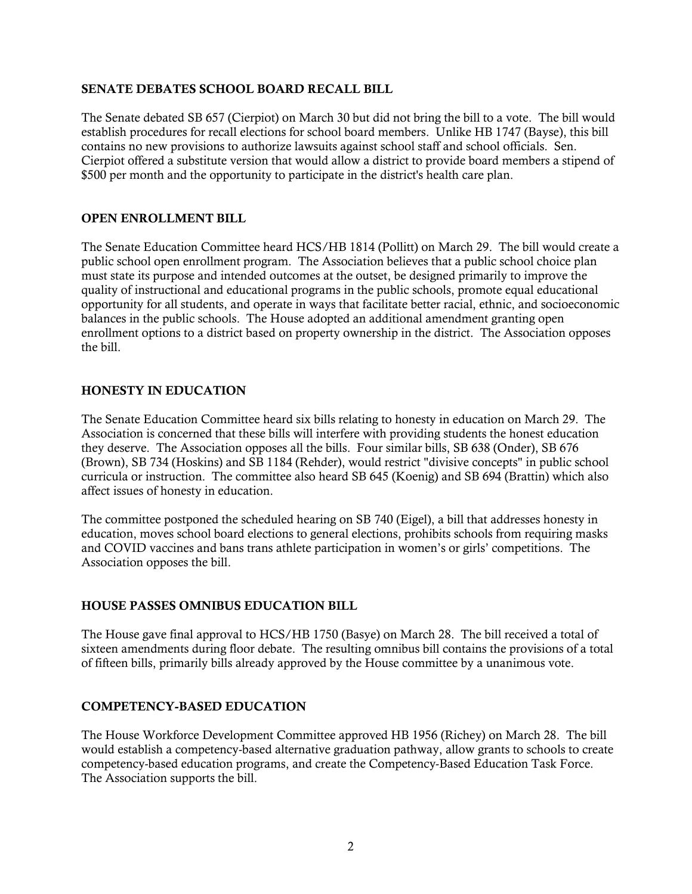#### SENATE DEBATES SCHOOL BOARD RECALL BILL

The Senate debated SB 657 (Cierpiot) on March 30 but did not bring the bill to a vote. The bill would establish procedures for recall elections for school board members. Unlike HB 1747 (Bayse), this bill contains no new provisions to authorize lawsuits against school staff and school officials. Sen. Cierpiot offered a substitute version that would allow a district to provide board members a stipend of \$500 per month and the opportunity to participate in the district's health care plan.

#### OPEN ENROLLMENT BILL

The Senate Education Committee heard HCS/HB 1814 (Pollitt) on March 29. The bill would create a public school open enrollment program. The Association believes that a public school choice plan must state its purpose and intended outcomes at the outset, be designed primarily to improve the quality of instructional and educational programs in the public schools, promote equal educational opportunity for all students, and operate in ways that facilitate better racial, ethnic, and socioeconomic balances in the public schools. The House adopted an additional amendment granting open enrollment options to a district based on property ownership in the district. The Association opposes the bill.

#### HONESTY IN EDUCATION

The Senate Education Committee heard six bills relating to honesty in education on March 29. The Association is concerned that these bills will interfere with providing students the honest education they deserve. The Association opposes all the bills. Four similar bills, SB 638 (Onder), SB 676 (Brown), SB 734 (Hoskins) and SB 1184 (Rehder), would restrict "divisive concepts" in public school curricula or instruction. The committee also heard SB 645 (Koenig) and SB 694 (Brattin) which also affect issues of honesty in education.

The committee postponed the scheduled hearing on SB 740 (Eigel), a bill that addresses honesty in education, moves school board elections to general elections, prohibits schools from requiring masks and COVID vaccines and bans trans athlete participation in women's or girls' competitions. The Association opposes the bill.

#### HOUSE PASSES OMNIBUS EDUCATION BILL

The House gave final approval to HCS/HB 1750 (Basye) on March 28. The bill received a total of sixteen amendments during floor debate. The resulting omnibus bill contains the provisions of a total of fifteen bills, primarily bills already approved by the House committee by a unanimous vote.

#### COMPETENCY-BASED EDUCATION

The House Workforce Development Committee approved HB 1956 (Richey) on March 28. The bill would establish a competency-based alternative graduation pathway, allow grants to schools to create competency-based education programs, and create the Competency-Based Education Task Force. The Association supports the bill.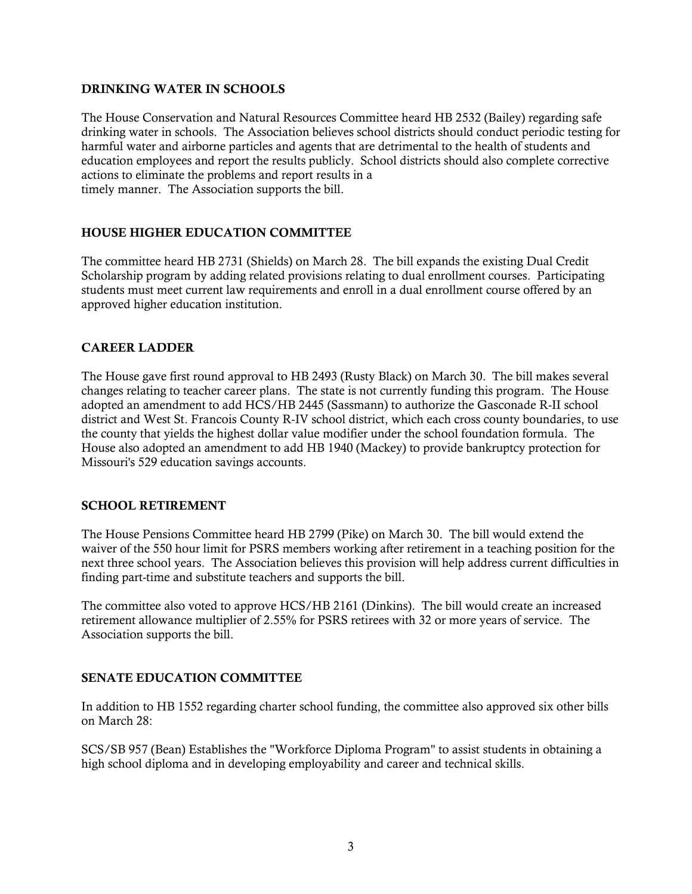### DRINKING WATER IN SCHOOLS

The House Conservation and Natural Resources Committee heard HB 2532 (Bailey) regarding safe drinking water in schools. The Association believes school districts should conduct periodic testing for harmful water and airborne particles and agents that are detrimental to the health of students and education employees and report the results publicly. School districts should also complete corrective actions to eliminate the problems and report results in a timely manner. The Association supports the bill.

# HOUSE HIGHER EDUCATION COMMITTEE

The committee heard HB 2731 (Shields) on March 28. The bill expands the existing Dual Credit Scholarship program by adding related provisions relating to dual enrollment courses. Participating students must meet current law requirements and enroll in a dual enrollment course offered by an approved higher education institution.

# CAREER LADDER

The House gave first round approval to HB 2493 (Rusty Black) on March 30. The bill makes several changes relating to teacher career plans. The state is not currently funding this program. The House adopted an amendment to add HCS/HB 2445 (Sassmann) to authorize the Gasconade R-II school district and West St. Francois County R-IV school district, which each cross county boundaries, to use the county that yields the highest dollar value modifier under the school foundation formula. The House also adopted an amendment to add HB 1940 (Mackey) to provide bankruptcy protection for Missouri's 529 education savings accounts.

# SCHOOL RETIREMENT

The House Pensions Committee heard HB 2799 (Pike) on March 30. The bill would extend the waiver of the 550 hour limit for PSRS members working after retirement in a teaching position for the next three school years. The Association believes this provision will help address current difficulties in finding part-time and substitute teachers and supports the bill.

The committee also voted to approve HCS/HB 2161 (Dinkins). The bill would create an increased retirement allowance multiplier of 2.55% for PSRS retirees with 32 or more years of service. The Association supports the bill.

#### SENATE EDUCATION COMMITTEE

In addition to HB 1552 regarding charter school funding, the committee also approved six other bills on March 28:

SCS/SB 957 (Bean) Establishes the "Workforce Diploma Program" to assist students in obtaining a high school diploma and in developing employability and career and technical skills.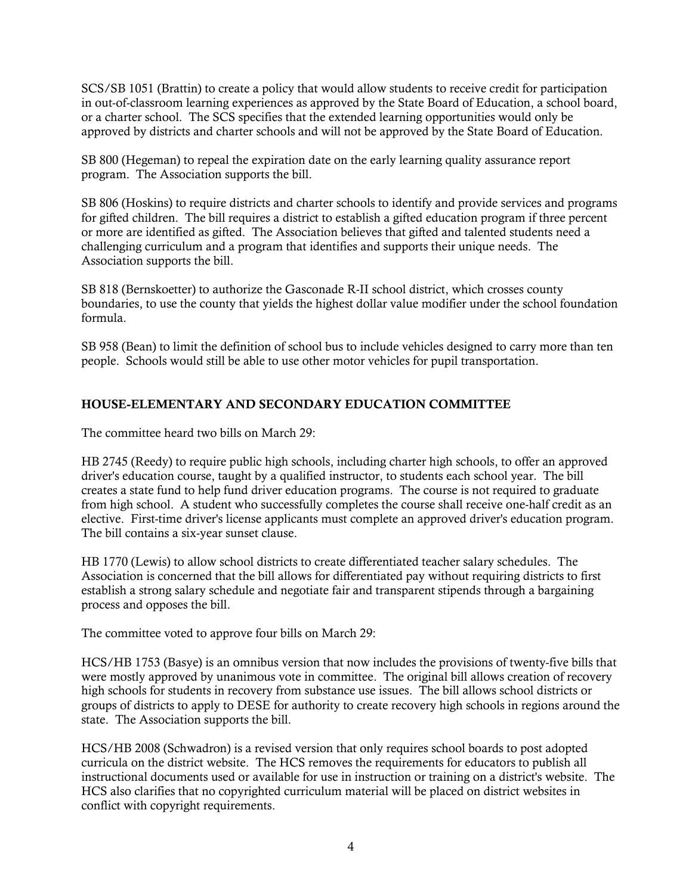SCS/SB 1051 (Brattin) to create a policy that would allow students to receive credit for participation in out-of-classroom learning experiences as approved by the State Board of Education, a school board, or a charter school. The SCS specifies that the extended learning opportunities would only be approved by districts and charter schools and will not be approved by the State Board of Education.

SB 800 (Hegeman) to repeal the expiration date on the early learning quality assurance report program. The Association supports the bill.

SB 806 (Hoskins) to require districts and charter schools to identify and provide services and programs for gifted children. The bill requires a district to establish a gifted education program if three percent or more are identified as gifted. The Association believes that gifted and talented students need a challenging curriculum and a program that identifies and supports their unique needs. The Association supports the bill.

SB 818 (Bernskoetter) to authorize the Gasconade R-II school district, which crosses county boundaries, to use the county that yields the highest dollar value modifier under the school foundation formula.

SB 958 (Bean) to limit the definition of school bus to include vehicles designed to carry more than ten people. Schools would still be able to use other motor vehicles for pupil transportation.

# HOUSE-ELEMENTARY AND SECONDARY EDUCATION COMMITTEE

The committee heard two bills on March 29:

HB 2745 (Reedy) to require public high schools, including charter high schools, to offer an approved driver's education course, taught by a qualified instructor, to students each school year. The bill creates a state fund to help fund driver education programs. The course is not required to graduate from high school. A student who successfully completes the course shall receive one-half credit as an elective. First-time driver's license applicants must complete an approved driver's education program. The bill contains a six-year sunset clause.

HB 1770 (Lewis) to allow school districts to create differentiated teacher salary schedules. The Association is concerned that the bill allows for differentiated pay without requiring districts to first establish a strong salary schedule and negotiate fair and transparent stipends through a bargaining process and opposes the bill.

The committee voted to approve four bills on March 29:

HCS/HB 1753 (Basye) is an omnibus version that now includes the provisions of twenty-five bills that were mostly approved by unanimous vote in committee. The original bill allows creation of recovery high schools for students in recovery from substance use issues. The bill allows school districts or groups of districts to apply to DESE for authority to create recovery high schools in regions around the state. The Association supports the bill.

HCS/HB 2008 (Schwadron) is a revised version that only requires school boards to post adopted curricula on the district website. The HCS removes the requirements for educators to publish all instructional documents used or available for use in instruction or training on a district's website. The HCS also clarifies that no copyrighted curriculum material will be placed on district websites in conflict with copyright requirements.